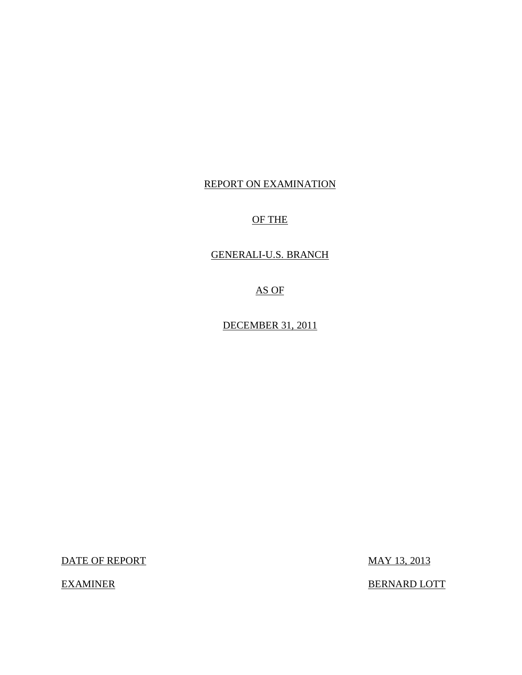# REPORT ON EXAMINATION

## OF THE

## GENERALI-U.S. BRANCH

AS OF

DECEMBER 31, 2011

DATE OF REPORT MAY 13, 2013

EXAMINER BERNARD LOTT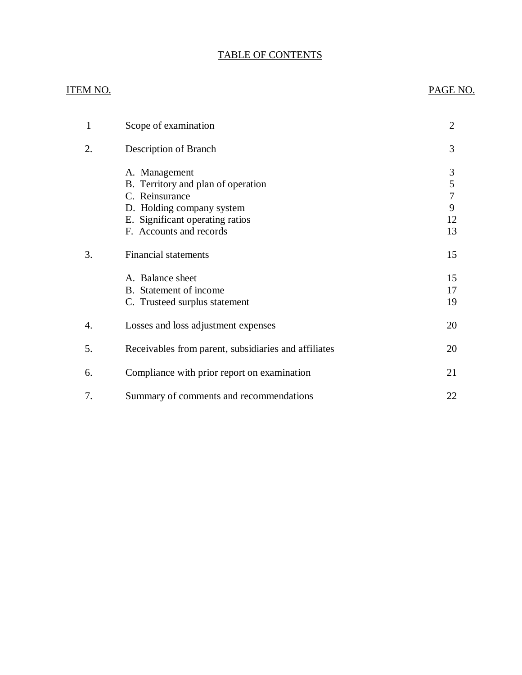### TABLE OF CONTENTS

## ITEM NO. PAGE NO.

| 1  | Scope of examination                                                                                                                                             | $\overline{2}$               |
|----|------------------------------------------------------------------------------------------------------------------------------------------------------------------|------------------------------|
| 2. | Description of Branch                                                                                                                                            | 3                            |
|    | A. Management<br>B. Territory and plan of operation<br>C. Reinsurance<br>D. Holding company system<br>E. Significant operating ratios<br>F. Accounts and records | 3<br>5<br>7<br>9<br>12<br>13 |
| 3. | <b>Financial statements</b>                                                                                                                                      | 15                           |
|    | A. Balance sheet<br>B. Statement of income<br>C. Trusteed surplus statement                                                                                      | 15<br>17<br>19               |
| 4. | Losses and loss adjustment expenses                                                                                                                              | 20                           |
| 5. | Receivables from parent, subsidiaries and affiliates                                                                                                             | 20                           |
| 6. | Compliance with prior report on examination                                                                                                                      | 21                           |
| 7. | Summary of comments and recommendations                                                                                                                          | 22                           |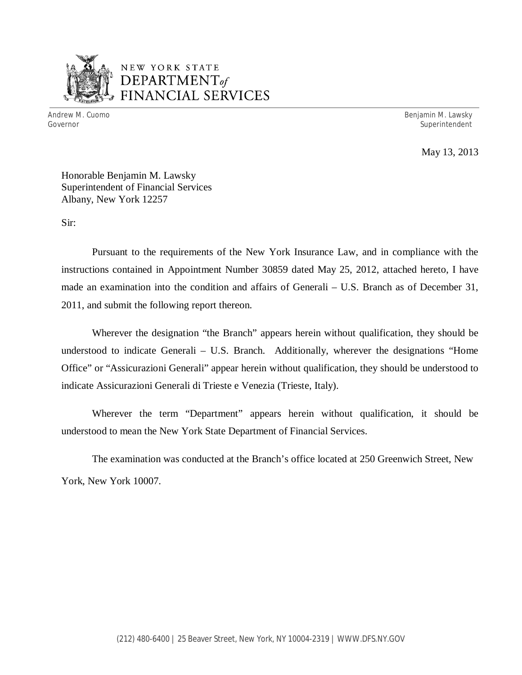

# NEW YORK STATE *DEPARTMENTof*  FINANCIAL SERVICES

Andrew M. Cuomo **Benjamin M. Lawsky** Governor Superintendent

May 13, 2013

Honorable Benjamin M. Lawsky Superintendent of Financial Services Albany, New York 12257

Sir:

Pursuant to the requirements of the New York Insurance Law, and in compliance with the instructions contained in Appointment Number 30859 dated May 25, 2012, attached hereto, I have made an examination into the condition and affairs of Generali – U.S. Branch as of December 31, 2011, and submit the following report thereon.

Wherever the designation "the Branch" appears herein without qualification, they should be understood to indicate Generali – U.S. Branch. Additionally, wherever the designations "Home Office" or "Assicurazioni Generali" appear herein without qualification, they should be understood to indicate Assicurazioni Generali di Trieste e Venezia (Trieste, Italy).

Wherever the term "Department" appears herein without qualification, it should be understood to mean the New York State Department of Financial Services.

The examination was conducted at the Branch's office located at 250 Greenwich Street, New York, New York 10007.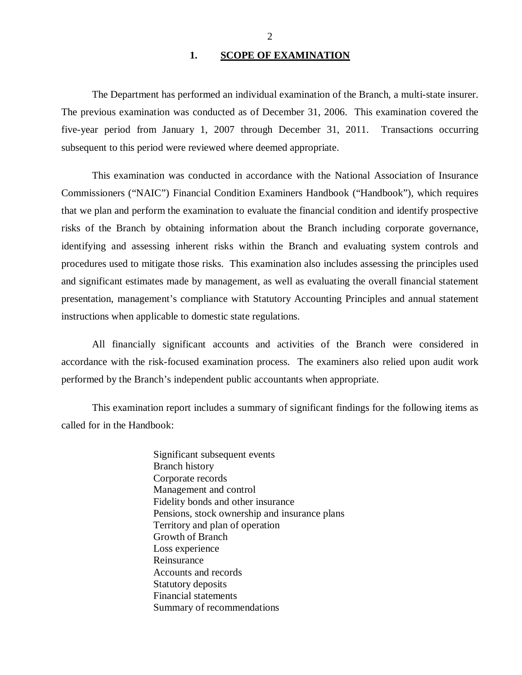#### 1. SCOPE OF EXAMINATION

<span id="page-3-0"></span>The Department has performed an individual examination of the Branch*,* a multi-state insurer. The previous examination was conducted as of December 31, 2006. This examination covered the five-year period from January 1, 2007 through December 31, 2011. Transactions occurring subsequent to this period were reviewed where deemed appropriate.

This examination was conducted in accordance with the National Association of Insurance Commissioners ("NAIC") Financial Condition Examiners Handbook ("Handbook"), which requires that we plan and perform the examination to evaluate the financial condition and identify prospective risks of the Branch by obtaining information about the Branch including corporate governance, identifying and assessing inherent risks within the Branch and evaluating system controls and procedures used to mitigate those risks. This examination also includes assessing the principles used and significant estimates made by management, as well as evaluating the overall financial statement presentation, management's compliance with Statutory Accounting Principles and annual statement instructions when applicable to domestic state regulations.

All financially significant accounts and activities of the Branch were considered in accordance with the risk-focused examination process. The examiners also relied upon audit work performed by the Branch's independent public accountants when appropriate.

This examination report includes a summary of significant findings for the following items as called for in the Handbook:

> Significant subsequent events Branch history Corporate records Management and control Fidelity bonds and other insurance Pensions, stock ownership and insurance plans Territory and plan of operation Growth of Branch Loss experience Reinsurance Accounts and records Statutory deposits Financial statements Summary of recommendations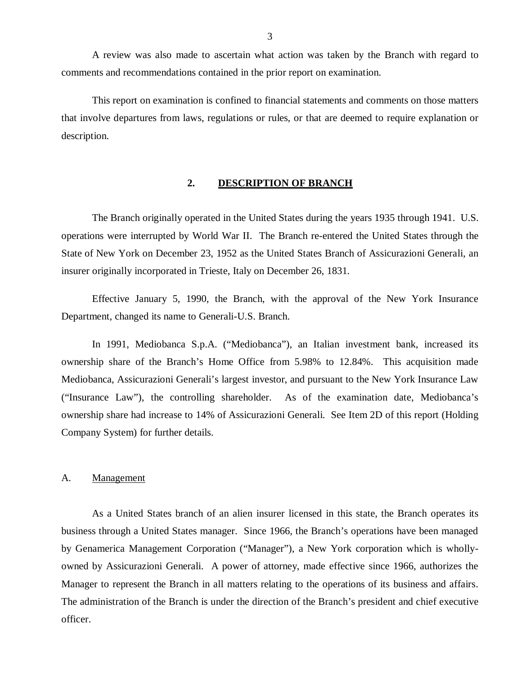<span id="page-4-0"></span>A review was also made to ascertain what action was taken by the Branch with regard to comments and recommendations contained in the prior report on examination.

This report on examination is confined to financial statements and comments on those matters that involve departures from laws, regulations or rules, or that are deemed to require explanation or description.

### **2. DESCRIPTION OF BRANCH**

The Branch originally operated in the United States during the years 1935 through 1941. U.S. operations were interrupted by World War II. The Branch re-entered the United States through the State of New York on December 23, 1952 as the United States Branch of Assicurazioni Generali, an insurer originally incorporated in Trieste, Italy on December 26, 1831.

Effective January 5, 1990, the Branch, with the approval of the New York Insurance Department, changed its name to Generali-U.S. Branch.

In 1991, Mediobanca S.p.A. ("Mediobanca"), an Italian investment bank, increased its ownership share of the Branch's Home Office from 5.98% to 12.84%. This acquisition made Mediobanca, Assicurazioni Generali's largest investor, and pursuant to the New York Insurance Law ("Insurance Law"), the controlling shareholder. As of the examination date, Mediobanca's ownership share had increase to 14% of Assicurazioni Generali. See Item 2D of this report (Holding Company System) for further details.

### A. Management

As a United States branch of an alien insurer licensed in this state, the Branch operates its business through a United States manager. Since 1966, the Branch's operations have been managed by Genamerica Management Corporation ("Manager"), a New York corporation which is whollyowned by Assicurazioni Generali. A power of attorney, made effective since 1966, authorizes the Manager to represent the Branch in all matters relating to the operations of its business and affairs. The administration of the Branch is under the direction of the Branch's president and chief executive officer.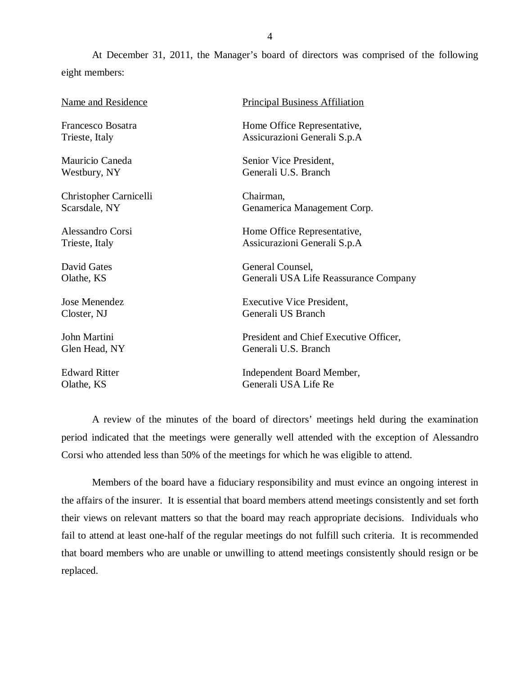At December 31, 2011, the Manager's board of directors was comprised of the following eight members:

| <b>Name and Residence</b> | <b>Principal Business Affiliation</b>  |
|---------------------------|----------------------------------------|
| Francesco Bosatra         | Home Office Representative,            |
| Trieste, Italy            | Assicurazioni Generali S.p.A           |
| Mauricio Caneda           | Senior Vice President,                 |
| Westbury, NY              | Generali U.S. Branch                   |
| Christopher Carnicelli    | Chairman,                              |
| Scarsdale, NY             | Genamerica Management Corp.            |
| Alessandro Corsi          | Home Office Representative,            |
| Trieste, Italy            | Assicurazioni Generali S.p.A           |
| David Gates               | General Counsel,                       |
| Olathe, KS                | Generali USA Life Reassurance Company  |
| Jose Menendez             | Executive Vice President,              |
| Closter, NJ               | Generali US Branch                     |
| John Martini              | President and Chief Executive Officer, |
| Glen Head, NY             | Generali U.S. Branch                   |
| <b>Edward Ritter</b>      | Independent Board Member,              |
| Olathe, KS                | Generali USA Life Re                   |
|                           |                                        |

A review of the minutes of the board of directors' meetings held during the examination period indicated that the meetings were generally well attended with the exception of Alessandro Corsi who attended less than 50% of the meetings for which he was eligible to attend.

Members of the board have a fiduciary responsibility and must evince an ongoing interest in the affairs of the insurer. It is essential that board members attend meetings consistently and set forth their views on relevant matters so that the board may reach appropriate decisions. Individuals who fail to attend at least one-half of the regular meetings do not fulfill such criteria. It is recommended that board members who are unable or unwilling to attend meetings consistently should resign or be replaced.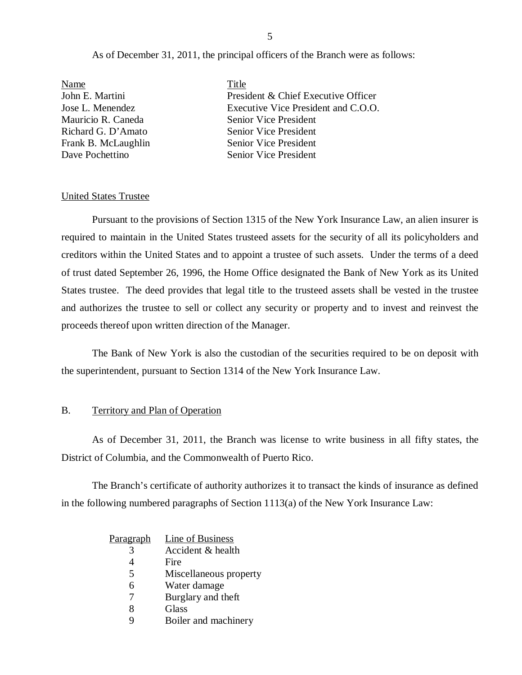#### As of December 31, 2011, the principal officers of the Branch were as follows:

<span id="page-6-0"></span>

| Name                | Title                               |
|---------------------|-------------------------------------|
| John E. Martini     | President & Chief Executive Officer |
| Jose L. Menendez    | Executive Vice President and C.O.O. |
| Mauricio R. Caneda  | Senior Vice President               |
| Richard G. D'Amato  | <b>Senior Vice President</b>        |
| Frank B. McLaughlin | <b>Senior Vice President</b>        |
| Dave Pochettino     | <b>Senior Vice President</b>        |

#### United States Trustee

Pursuant to the provisions of Section 1315 of the New York Insurance Law, an alien insurer is required to maintain in the United States trusteed assets for the security of all its policyholders and creditors within the United States and to appoint a trustee of such assets. Under the terms of a deed of trust dated September 26, 1996, the Home Office designated the Bank of New York as its United States trustee. The deed provides that legal title to the trusteed assets shall be vested in the trustee and authorizes the trustee to sell or collect any security or property and to invest and reinvest the proceeds thereof upon written direction of the Manager.

The Bank of New York is also the custodian of the securities required to be on deposit with the superintendent, pursuant to Section 1314 of the New York Insurance Law.

#### B. Territory and Plan of Operation

As of December 31, 2011, the Branch was license to write business in all fifty states, the District of Columbia, and the Commonwealth of Puerto Rico.

The Branch's certificate of authority authorizes it to transact the kinds of insurance as defined in the following numbered paragraphs of Section 1113(a) of the New York Insurance Law:

| <u>Paragraph</u> | Line of Business       |
|------------------|------------------------|
|                  | Accident & health      |
|                  | Fire                   |
| 5                | Miscellaneous property |
| 6                | Water damage           |
|                  | Burglary and theft     |
| 8                | Glass                  |
| q                | Boiler and machinery   |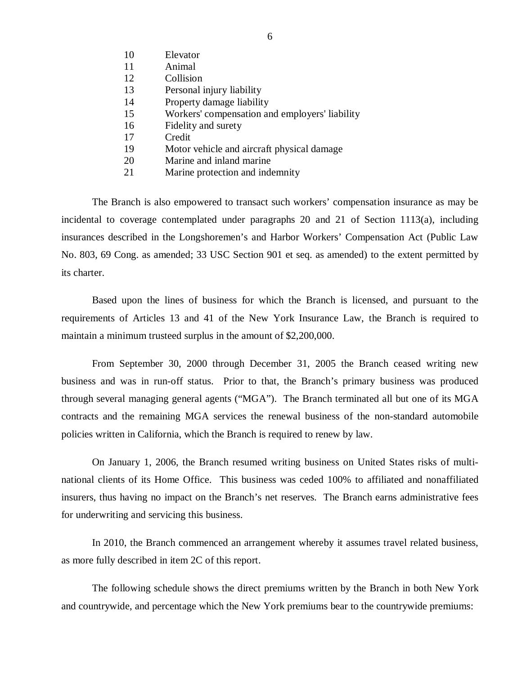- 10 Elevator 11 Animal 12 Collision 13 Personal injury liability 14 Property damage liability 15 Workers' compensation and employers' liability 16 Fidelity and surety 17 Credit 19 Motor vehicle and aircraft physical damage
- 20 Marine and inland marine
- 21 Marine protection and indemnity

The Branch is also empowered to transact such workers' compensation insurance as may be incidental to coverage contemplated under paragraphs 20 and 21 of Section 1113(a), including insurances described in the Longshoremen's and Harbor Workers' Compensation Act (Public Law No. 803, 69 Cong. as amended; 33 USC Section 901 et seq. as amended) to the extent permitted by its charter.

Based upon the lines of business for which the Branch is licensed, and pursuant to the requirements of Articles 13 and 41 of the New York Insurance Law, the Branch is required to maintain a minimum trusteed surplus in the amount of \$2,200,000.

From September 30, 2000 through December 31, 2005 the Branch ceased writing new business and was in run-off status. Prior to that, the Branch's primary business was produced through several managing general agents ("MGA"). The Branch terminated all but one of its MGA contracts and the remaining MGA services the renewal business of the non-standard automobile policies written in California, which the Branch is required to renew by law.

On January 1, 2006, the Branch resumed writing business on United States risks of multinational clients of its Home Office. This business was ceded 100% to affiliated and nonaffiliated insurers, thus having no impact on the Branch's net reserves. The Branch earns administrative fees for underwriting and servicing this business.

In 2010, the Branch commenced an arrangement whereby it assumes travel related business, as more fully described in item 2C of this report.

The following schedule shows the direct premiums written by the Branch in both New York and countrywide, and percentage which the New York premiums bear to the countrywide premiums: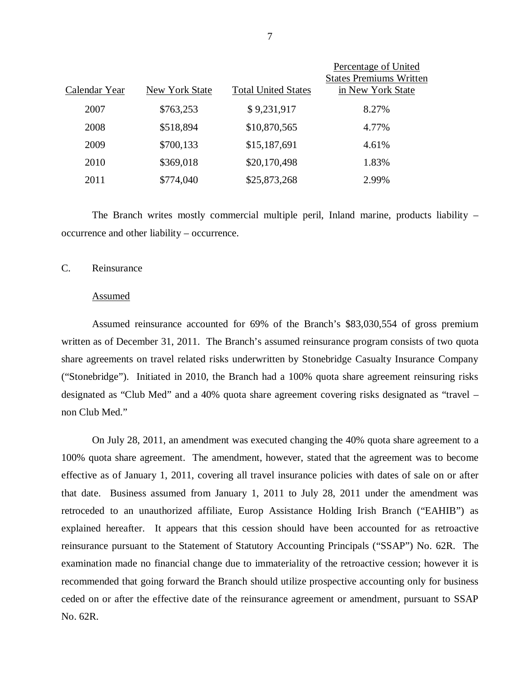| Calendar Year | New York State | <b>Total United States</b> | Percentage of United<br><b>States Premiums Written</b><br>in New York State |
|---------------|----------------|----------------------------|-----------------------------------------------------------------------------|
| 2007          | \$763,253      | \$9,231,917                | 8.27%                                                                       |
| 2008          | \$518,894      | \$10,870,565               | 4.77%                                                                       |
| 2009          | \$700,133      | \$15,187,691               | 4.61%                                                                       |
| 2010          | \$369,018      | \$20,170,498               | 1.83%                                                                       |
| 2011          | \$774,040      | \$25,873,268               | 2.99%                                                                       |

The Branch writes mostly commercial multiple peril, Inland marine, products liability – occurrence and other liability – occurrence.

### C. Reinsurance

#### Assumed

Assumed reinsurance accounted for 69% of the Branch's \$83,030,554 of gross premium written as of December 31, 2011. The Branch's assumed reinsurance program consists of two quota share agreements on travel related risks underwritten by Stonebridge Casualty Insurance Company ("Stonebridge"). Initiated in 2010, the Branch had a 100% quota share agreement reinsuring risks designated as "Club Med" and a 40% quota share agreement covering risks designated as "travel – non Club Med."

On July 28, 2011, an amendment was executed changing the 40% quota share agreement to a 100% quota share agreement. The amendment, however, stated that the agreement was to become effective as of January 1, 2011, covering all travel insurance policies with dates of sale on or after that date. Business assumed from January 1, 2011 to July 28, 2011 under the amendment was retroceded to an unauthorized affiliate, Europ Assistance Holding Irish Branch ("EAHIB") as explained hereafter. It appears that this cession should have been accounted for as retroactive reinsurance pursuant to the Statement of Statutory Accounting Principals ("SSAP") No. 62R. The examination made no financial change due to immateriality of the retroactive cession; however it is recommended that going forward the Branch should utilize prospective accounting only for business ceded on or after the effective date of the reinsurance agreement or amendment, pursuant to SSAP No. 62R.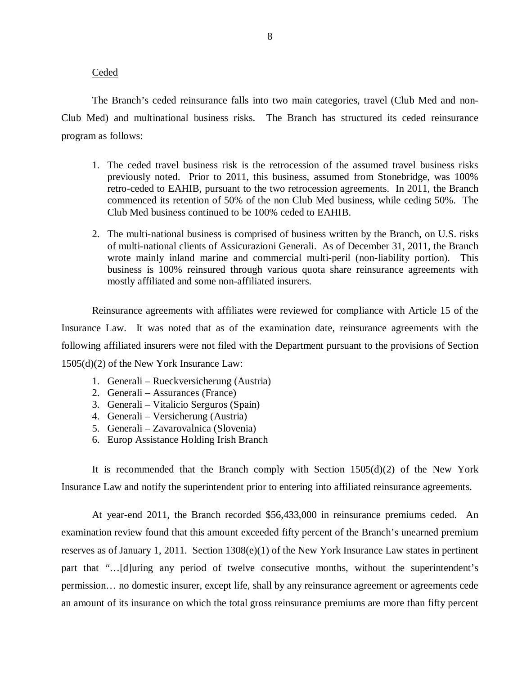#### Ceded

The Branch's ceded reinsurance falls into two main categories, travel (Club Med and non-Club Med) and multinational business risks. The Branch has structured its ceded reinsurance program as follows:

- 1. The ceded travel business risk is the retrocession of the assumed travel business risks previously noted. Prior to 2011, this business, assumed from Stonebridge, was 100% retro-ceded to EAHIB, pursuant to the two retrocession agreements. In 2011, the Branch commenced its retention of 50% of the non Club Med business, while ceding 50%. The Club Med business continued to be 100% ceded to EAHIB.
- 2. The multi-national business is comprised of business written by the Branch, on U.S. risks of multi-national clients of Assicurazioni Generali. As of December 31, 2011, the Branch wrote mainly inland marine and commercial multi-peril (non-liability portion). This business is 100% reinsured through various quota share reinsurance agreements with mostly affiliated and some non-affiliated insurers.

Reinsurance agreements with affiliates were reviewed for compliance with Article 15 of the Insurance Law. It was noted that as of the examination date, reinsurance agreements with the following affiliated insurers were not filed with the Department pursuant to the provisions of Section 1505(d)(2) of the New York Insurance Law:

- 1. Generali Rueckversicherung (Austria)
- 2. Generali Assurances (France)
- 3. Generali Vitalicio Serguros (Spain)
- 4. Generali Versicherung (Austria)
- 5. Generali Zavarovalnica (Slovenia)
- 6. Europ Assistance Holding Irish Branch

It is recommended that the Branch comply with Section  $1505(d)(2)$  of the New York Insurance Law and notify the superintendent prior to entering into affiliated reinsurance agreements.

At year-end 2011, the Branch recorded \$56,433,000 in reinsurance premiums ceded. An examination review found that this amount exceeded fifty percent of the Branch's unearned premium reserves as of January 1, 2011. Section 1308(e)(1) of the New York Insurance Law states in pertinent part that "…[d]uring any period of twelve consecutive months, without the superintendent's permission… no domestic insurer, except life, shall by any reinsurance agreement or agreements cede an amount of its insurance on which the total gross reinsurance premiums are more than fifty percent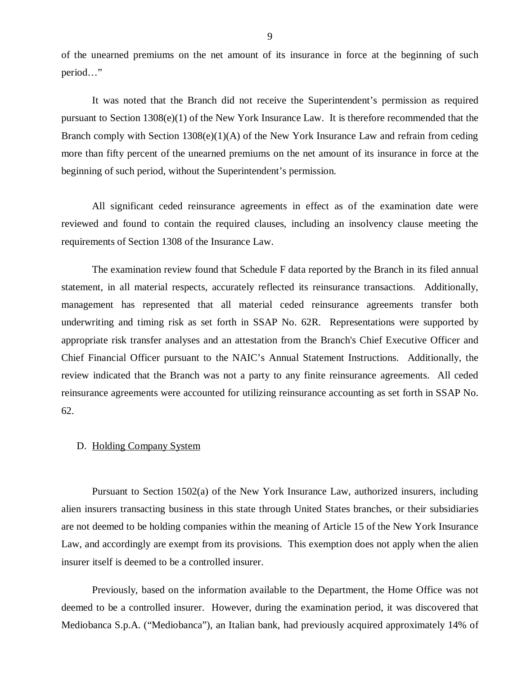<span id="page-10-0"></span>of the unearned premiums on the net amount of its insurance in force at the beginning of such period…"

It was noted that the Branch did not receive the Superintendent's permission as required pursuant to Section 1308(e)(1) of the New York Insurance Law. It is therefore recommended that the Branch comply with Section 1308(e)(1)(A) of the New York Insurance Law and refrain from ceding more than fifty percent of the unearned premiums on the net amount of its insurance in force at the beginning of such period, without the Superintendent's permission.

All significant ceded reinsurance agreements in effect as of the examination date were reviewed and found to contain the required clauses, including an insolvency clause meeting the requirements of Section 1308 of the Insurance Law.

The examination review found that Schedule F data reported by the Branch in its filed annual statement, in all material respects, accurately reflected its reinsurance transactions. Additionally, management has represented that all material ceded reinsurance agreements transfer both underwriting and timing risk as set forth in SSAP No. 62R. Representations were supported by appropriate risk transfer analyses and an attestation from the Branch's Chief Executive Officer and Chief Financial Officer pursuant to the NAIC's Annual Statement Instructions. Additionally, the review indicated that the Branch was not a party to any finite reinsurance agreements. All ceded reinsurance agreements were accounted for utilizing reinsurance accounting as set forth in SSAP No. 62.

### D. Holding Company System

Pursuant to Section 1502(a) of the New York Insurance Law, authorized insurers, including alien insurers transacting business in this state through United States branches, or their subsidiaries are not deemed to be holding companies within the meaning of Article 15 of the New York Insurance Law, and accordingly are exempt from its provisions. This exemption does not apply when the alien insurer itself is deemed to be a controlled insurer.

Previously, based on the information available to the Department, the Home Office was not deemed to be a controlled insurer. However, during the examination period, it was discovered that Mediobanca S.p.A. ("Mediobanca"), an Italian bank, had previously acquired approximately 14% of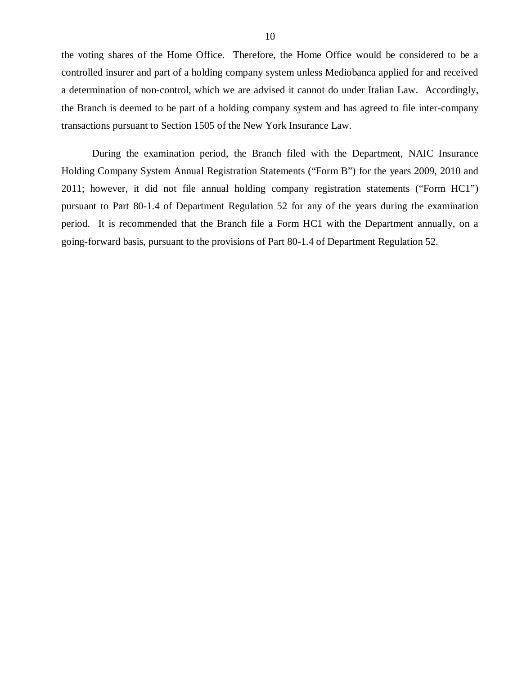the voting shares of the Home Office. Therefore, the Home Office would be considered to be a controlled insurer and part of a holding company system unless Mediobanca applied for and received a determination of non-control, which we are advised it cannot do under Italian Law. Accordingly, the Branch is deemed to be part of a holding company system and has agreed to file inter-company transactions pursuant to Section 1505 of the New York Insurance Law.

During the examination period, the Branch filed with the Department, NAIC Insurance Holding Company System Annual Registration Statements ("Form B") for the years 2009, 2010 and 2011; however, it did not file annual holding company registration statements ("Form HC1") pursuant to Part 80-1.4 of Department Regulation 52 for any of the years during the examination period. It is recommended that the Branch file a Form HC1 with the Department annually, on a going-forward basis, pursuant to the provisions of Part 80-1.4 of Department Regulation 52.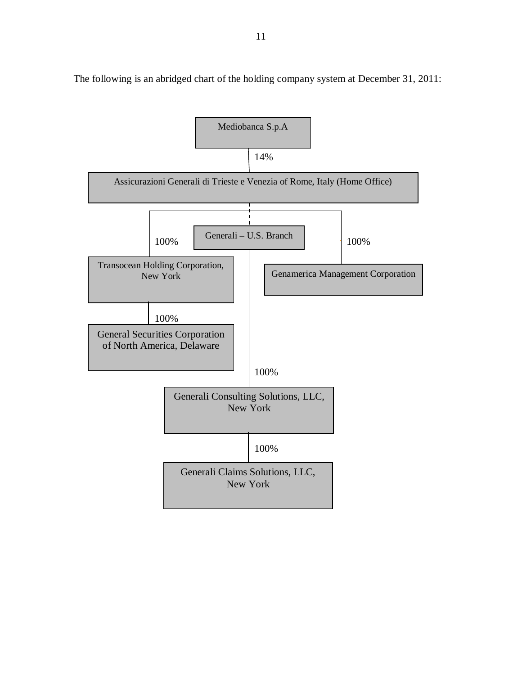

The following is an abridged chart of the holding company system at December 31, 2011: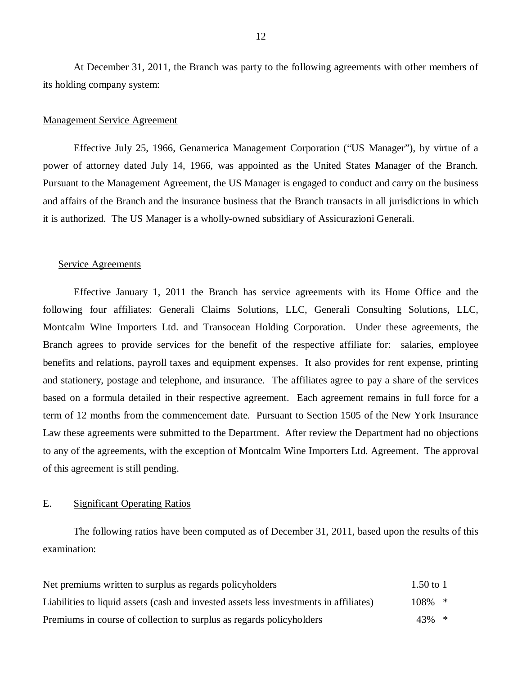At December 31, 2011, the Branch was party to the following agreements with other members of its holding company system:

#### Management Service Agreement

Effective July 25, 1966, Genamerica Management Corporation ("US Manager"), by virtue of a power of attorney dated July 14, 1966, was appointed as the United States Manager of the Branch. Pursuant to the Management Agreement, the US Manager is engaged to conduct and carry on the business and affairs of the Branch and the insurance business that the Branch transacts in all jurisdictions in which it is authorized. The US Manager is a wholly-owned subsidiary of Assicurazioni Generali.

#### Service Agreements

Effective January 1, 2011 the Branch has service agreements with its Home Office and the following four affiliates: Generali Claims Solutions, LLC, Generali Consulting Solutions, LLC, Montcalm Wine Importers Ltd. and Transocean Holding Corporation. Under these agreements, the Branch agrees to provide services for the benefit of the respective affiliate for: salaries, employee benefits and relations, payroll taxes and equipment expenses. It also provides for rent expense, printing and stationery, postage and telephone, and insurance. The affiliates agree to pay a share of the services based on a formula detailed in their respective agreement. Each agreement remains in full force for a term of 12 months from the commencement date. Pursuant to Section 1505 of the New York Insurance Law these agreements were submitted to the Department. After review the Department had no objections to any of the agreements, with the exception of Montcalm Wine Importers Ltd. Agreement. The approval of this agreement is still pending.

### E. Significant Operating Ratios

The following ratios have been computed as of December 31, 2011, based upon the results of this examination:

| Net premiums written to surplus as regards policyholders                               | 1.50 to 1 |  |
|----------------------------------------------------------------------------------------|-----------|--|
| Liabilities to liquid assets (cash and invested assets less investments in affiliates) | $108\%$ * |  |
| Premiums in course of collection to surplus as regards policyholders                   | $43\%$ *  |  |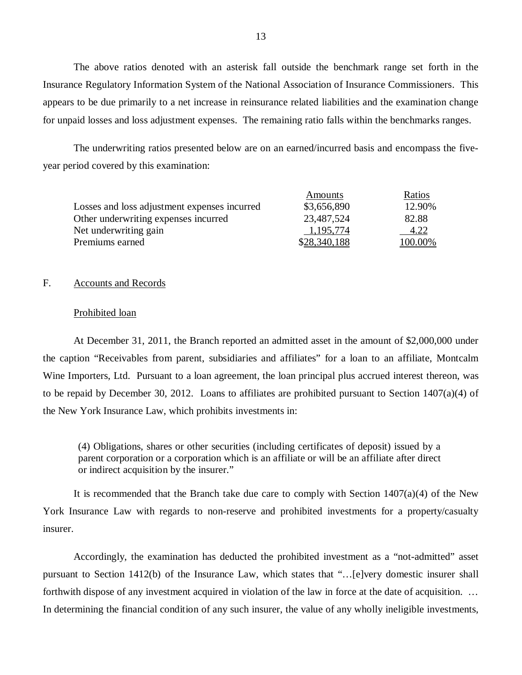The above ratios denoted with an asterisk fall outside the benchmark range set forth in the Insurance Regulatory Information System of the National Association of Insurance Commissioners. This appears to be due primarily to a net increase in reinsurance related liabilities and the examination change for unpaid losses and loss adjustment expenses. The remaining ratio falls within the benchmarks ranges.

The underwriting ratios presented below are on an earned/incurred basis and encompass the fiveyear period covered by this examination:

|                                              | Amounts      | Ratios  |
|----------------------------------------------|--------------|---------|
| Losses and loss adjustment expenses incurred | \$3,656,890  | 12.90%  |
| Other underwriting expenses incurred         | 23,487,524   | 82.88   |
| Net underwriting gain                        | 1,195,774    | 4.22    |
| Premiums earned                              | \$28,340,188 | 100.00% |

### F. Accounts and Records

#### Prohibited loan

At December 31, 2011, the Branch reported an admitted asset in the amount of \$2,000,000 under the caption "Receivables from parent, subsidiaries and affiliates" for a loan to an affiliate, Montcalm Wine Importers, Ltd. Pursuant to a loan agreement, the loan principal plus accrued interest thereon, was to be repaid by December 30, 2012. Loans to affiliates are prohibited pursuant to Section 1407(a)(4) of the New York Insurance Law, which prohibits investments in:

(4) Obligations, shares or other securities (including certificates of deposit) issued by a parent corporation or a corporation which is an affiliate or will be an affiliate after direct or indirect acquisition by the insurer."

It is recommended that the Branch take due care to comply with Section  $1407(a)(4)$  of the New York Insurance Law with regards to non-reserve and prohibited investments for a property/casualty insurer.

Accordingly, the examination has deducted the prohibited investment as a "not-admitted" asset pursuant to Section 1412(b) of the Insurance Law, which states that "…[e]very domestic insurer shall forthwith dispose of any investment acquired in violation of the law in force at the date of acquisition. ... In determining the financial condition of any such insurer, the value of any wholly ineligible investments,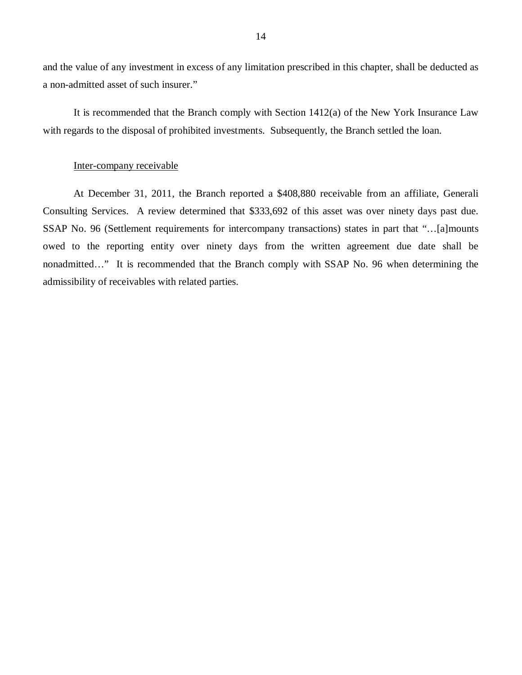and the value of any investment in excess of any limitation prescribed in this chapter, shall be deducted as a non-admitted asset of such insurer."

It is recommended that the Branch comply with Section 1412(a) of the New York Insurance Law with regards to the disposal of prohibited investments. Subsequently, the Branch settled the loan.

#### Inter-company receivable

At December 31, 2011, the Branch reported a \$408,880 receivable from an affiliate, Generali Consulting Services. A review determined that \$333,692 of this asset was over ninety days past due. SSAP No. 96 (Settlement requirements for intercompany transactions) states in part that "…[a]mounts owed to the reporting entity over ninety days from the written agreement due date shall be nonadmitted…" It is recommended that the Branch comply with SSAP No. 96 when determining the admissibility of receivables with related parties.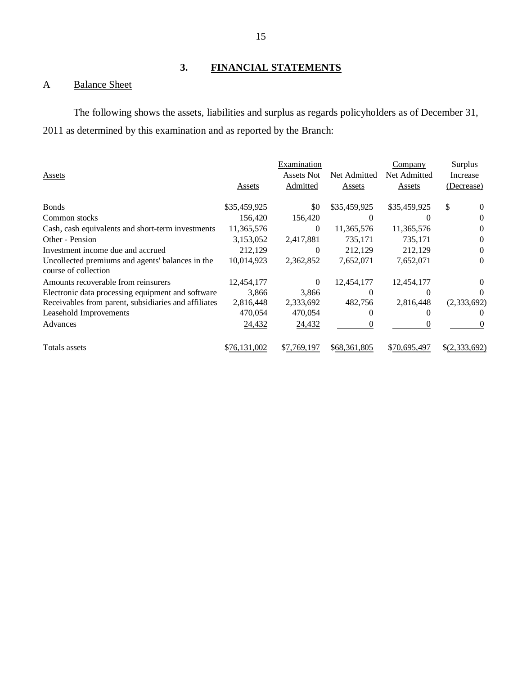# **3. FINANCIAL STATEMENTS**

# A Balance Sheet

The following shows the assets, liabilities and surplus as regards policyholders as of December 31, 2011 as determined by this examination and as reported by the Branch:

|                                                      |              | Examination |               | <b>Company</b> | Surplus         |
|------------------------------------------------------|--------------|-------------|---------------|----------------|-----------------|
| Assets                                               |              | Assets Not  | Net Admitted  | Net Admitted   | Increase        |
|                                                      | Assets       | Admitted    | <b>Assets</b> | <b>Assets</b>  | (Decrease)      |
|                                                      |              |             |               |                |                 |
| <b>Bonds</b>                                         | \$35,459,925 | \$0         | \$35,459,925  | \$35,459,925   | \$<br>$\theta$  |
| Common stocks                                        | 156,420      | 156,420     | $\theta$      | $\theta$       | $\Omega$        |
| Cash, cash equivalents and short-term investments    | 11,365,576   | 0           | 11,365,576    | 11,365,576     | 0               |
| Other - Pension                                      | 3,153,052    | 2,417,881   | 735,171       | 735,171        | $\Omega$        |
| Investment income due and accrued                    | 212,129      | 0           | 212,129       | 212,129        | 0               |
| Uncollected premiums and agents' balances in the     | 10,014,923   | 2,362,852   | 7,652,071     | 7,652,071      | 0               |
| course of collection                                 |              |             |               |                |                 |
| Amounts recoverable from reinsurers                  | 12,454,177   | 0           | 12,454,177    | 12,454,177     | 0               |
| Electronic data processing equipment and software    | 3.866        | 3,866       | 0             | 0              | $\theta$        |
| Receivables from parent, subsidiaries and affiliates | 2,816,448    | 2,333,692   | 482,756       | 2,816,448      | (2,333,692)     |
| Leasehold Improvements                               | 470,054      | 470,054     |               |                |                 |
| Advances                                             | 24,432       | 24,432      |               | $\theta$       | $\theta$        |
| Totals assets                                        | \$76,131,002 | \$7,769,197 | \$68,361,805  | \$70,695,497   | $\S(2,333,692)$ |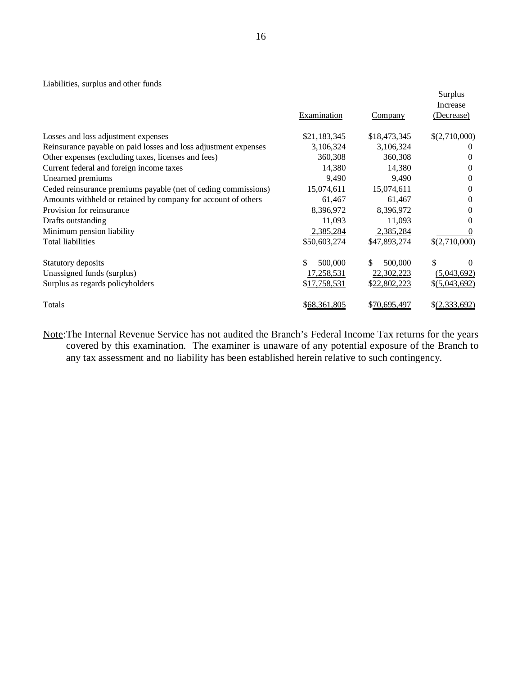#### Liabilities, surplus and other funds

|                                                                 |               |                | Surplus        |
|-----------------------------------------------------------------|---------------|----------------|----------------|
|                                                                 |               |                | Increase       |
|                                                                 | Examination   | <b>Company</b> | (Decrease)     |
| Losses and loss adjustment expenses                             | \$21,183,345  | \$18,473,345   | \$(2,710,000)  |
| Reinsurance payable on paid losses and loss adjustment expenses | 3,106,324     | 3,106,324      | $\theta$       |
| Other expenses (excluding taxes, licenses and fees)             | 360,308       | 360,308        | $\Omega$       |
| Current federal and foreign income taxes                        | 14,380        | 14,380         | $\Omega$       |
| Unearned premiums                                               | 9,490         | 9,490          | $\Omega$       |
| Ceded reinsurance premiums payable (net of ceding commissions)  | 15,074,611    | 15,074,611     | $\Omega$       |
| Amounts withheld or retained by company for account of others   | 61,467        | 61,467         | $\Omega$       |
| Provision for reinsurance                                       | 8,396,972     | 8,396,972      | $\Omega$       |
| Drafts outstanding                                              | 11,093        | 11,093         | $\Omega$       |
| Minimum pension liability                                       | 2,385,284     | 2,385,284      | 0              |
| <b>Total liabilities</b>                                        | \$50,603,274  | \$47,893,274   | \$(2,710,000)  |
| Statutory deposits                                              | \$<br>500,000 | \$<br>500,000  | \$<br>0        |
| Unassigned funds (surplus)                                      | 17,258,531    | 22,302,223     | (5,043,692)    |
| Surplus as regards policyholders                                | \$17,758,531  | \$22,802,223   | \$ (5,043,692) |
| Totals                                                          | \$68,361,805  | \$70,695,497   | \$(2,333,692)  |

Note:The Internal Revenue Service has not audited the Branch's Federal Income Tax returns for the years covered by this examination. The examiner is unaware of any potential exposure of the Branch to any tax assessment and no liability has been established herein relative to such contingency.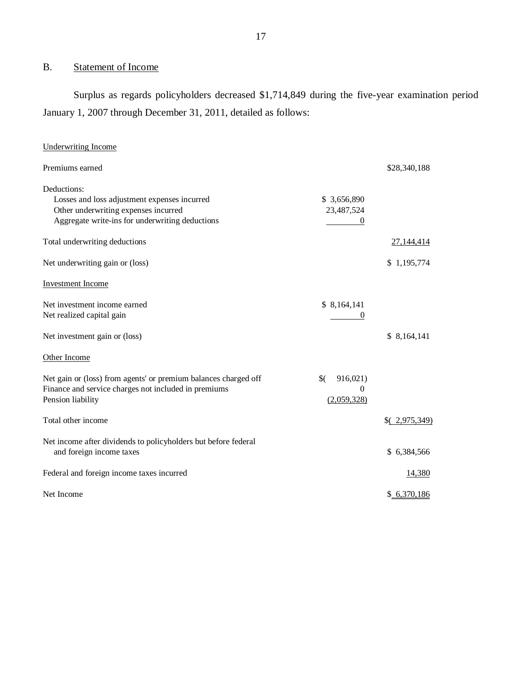# B. Statement of Income

Surplus as regards policyholders decreased \$1,714,849 during the five-year examination period January 1, 2007 through December 31, 2011, detailed as follows:

| <b>Underwriting Income</b>                                      |                 |              |
|-----------------------------------------------------------------|-----------------|--------------|
| Premiums earned                                                 |                 | \$28,340,188 |
| Deductions:                                                     |                 |              |
| Losses and loss adjustment expenses incurred                    | \$3,656,890     |              |
| Other underwriting expenses incurred                            | 23,487,524      |              |
| Aggregate write-ins for underwriting deductions                 |                 |              |
| Total underwriting deductions                                   |                 | 27, 144, 414 |
| Net underwriting gain or (loss)                                 |                 | \$1,195,774  |
| <b>Investment Income</b>                                        |                 |              |
| Net investment income earned                                    | \$8,164,141     |              |
| Net realized capital gain                                       |                 |              |
| Net investment gain or (loss)                                   |                 | \$8,164,141  |
| Other Income                                                    |                 |              |
| Net gain or (loss) from agents' or premium balances charged off | \$(<br>916,021) |              |
| Finance and service charges not included in premiums            | $\theta$        |              |
| Pension liability                                               | (2,059,328)     |              |
| Total other income                                              |                 | (2,975,349)  |
| Net income after dividends to policyholders but before federal  |                 |              |
| and foreign income taxes                                        |                 | \$6,384,566  |
| Federal and foreign income taxes incurred                       |                 | 14,380       |
| Net Income                                                      |                 | \$6,370,186  |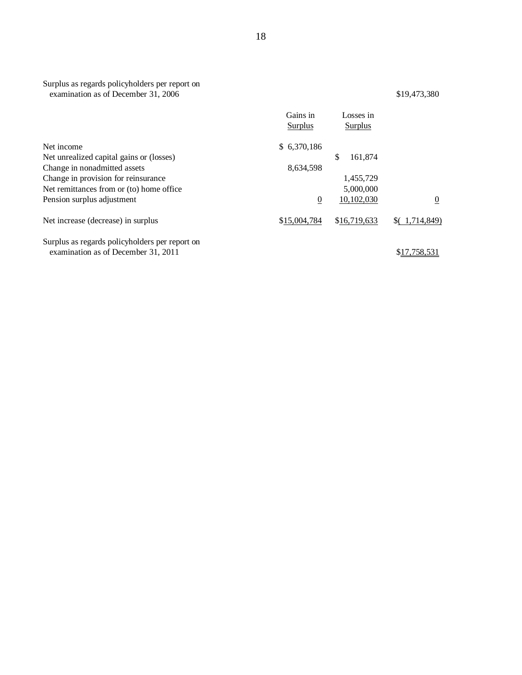### Surplus as regards policyholders per report on examination as of December 31, 2006 \$19,473,380

|                                                                                       | Gains in<br><b>Surplus</b> | Losses in<br>Surplus |                  |
|---------------------------------------------------------------------------------------|----------------------------|----------------------|------------------|
| Net income                                                                            | \$6,370,186                |                      |                  |
| Net unrealized capital gains or (losses)                                              |                            | \$<br>161,874        |                  |
| Change in nonadmitted assets                                                          | 8,634,598                  |                      |                  |
| Change in provision for reinsurance                                                   |                            | 1,455,729            |                  |
| Net remittances from or (to) home office.                                             |                            | 5,000,000            |                  |
| Pension surplus adjustment                                                            | $\overline{0}$             | 10,102,030           | $\boldsymbol{0}$ |
| Net increase (decrease) in surplus                                                    | \$15,004,784               | \$16,719,633         | (1,714,849)      |
| Surplus as regards policyholders per report on<br>examination as of December 31, 2011 |                            |                      | \$17,758,531     |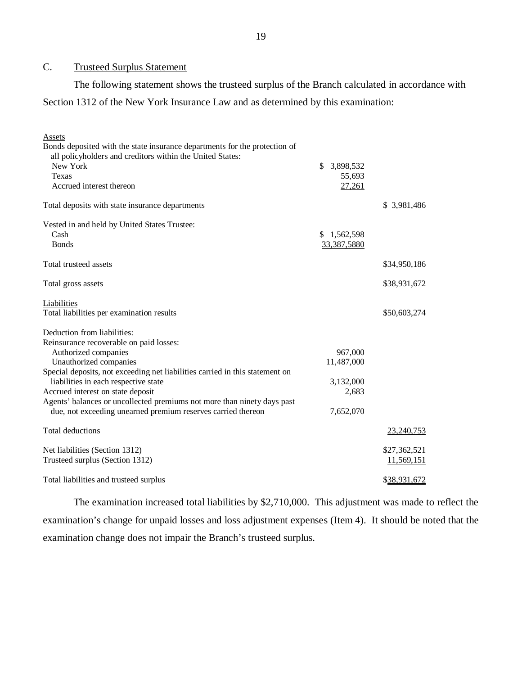### C. Trusteed Surplus Statement

The following statement shows the trusteed surplus of the Branch calculated in accordance with Section 1312 of the New York Insurance Law and as determined by this examination:

| Assets                                                                       |                 |              |
|------------------------------------------------------------------------------|-----------------|--------------|
| Bonds deposited with the state insurance departments for the protection of   |                 |              |
| all policyholders and creditors within the United States:                    |                 |              |
| New York                                                                     | \$<br>3,898,532 |              |
| Texas                                                                        | 55,693          |              |
| Accrued interest thereon                                                     | 27,261          |              |
| Total deposits with state insurance departments                              |                 | \$ 3,981,486 |
| Vested in and held by United States Trustee:                                 |                 |              |
| Cash                                                                         | \$<br>1,562,598 |              |
| <b>Bonds</b>                                                                 | 33,387,5880     |              |
| Total trusteed assets                                                        |                 | \$34,950,186 |
| Total gross assets                                                           |                 | \$38,931,672 |
| Liabilities                                                                  |                 |              |
| Total liabilities per examination results                                    |                 | \$50,603,274 |
| Deduction from liabilities:                                                  |                 |              |
| Reinsurance recoverable on paid losses:                                      |                 |              |
| Authorized companies                                                         | 967,000         |              |
| Unauthorized companies                                                       | 11,487,000      |              |
| Special deposits, not exceeding net liabilities carried in this statement on |                 |              |
| liabilities in each respective state                                         | 3,132,000       |              |
| Accrued interest on state deposit                                            | 2,683           |              |
| Agents' balances or uncollected premiums not more than ninety days past      |                 |              |
| due, not exceeding unearned premium reserves carried thereon                 | 7,652,070       |              |
| Total deductions                                                             |                 | 23,240,753   |
| Net liabilities (Section 1312)                                               |                 | \$27,362,521 |
| Trusteed surplus (Section 1312)                                              |                 | 11,569,151   |
| Total liabilities and trusteed surplus                                       |                 | \$38,931,672 |

The examination increased total liabilities by \$2,710,000. This adjustment was made to reflect the examination's change for unpaid losses and loss adjustment expenses (Item 4). It should be noted that the examination change does not impair the Branch's trusteed surplus.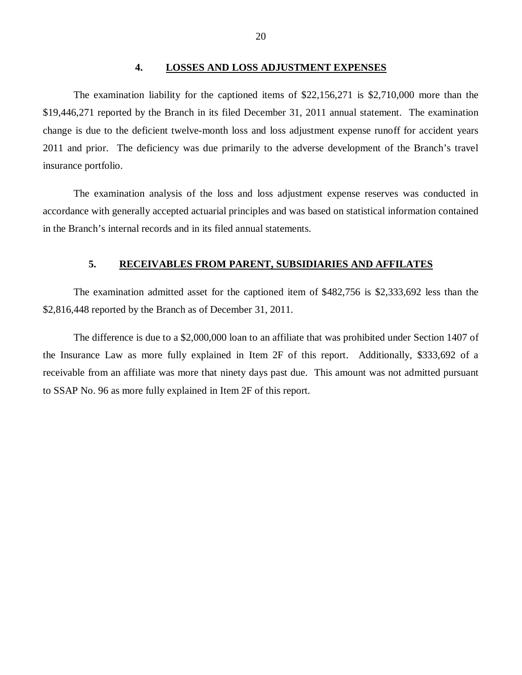#### **4. LOSSES AND LOSS ADJUSTMENT EXPENSES**

<span id="page-21-0"></span>The examination liability for the captioned items of \$22,156,271 is \$2,710,000 more than the \$19,446,271 reported by the Branch in its filed December 31, 2011 annual statement. The examination change is due to the deficient twelve-month loss and loss adjustment expense runoff for accident years 2011 and prior. The deficiency was due primarily to the adverse development of the Branch's travel insurance portfolio.

The examination analysis of the loss and loss adjustment expense reserves was conducted in accordance with generally accepted actuarial principles and was based on statistical information contained in the Branch's internal records and in its filed annual statements.

### **5. RECEIVABLES FROM PARENT, SUBSIDIARIES AND AFFILATES**

The examination admitted asset for the captioned item of \$482,756 is \$2,333,692 less than the \$2,816,448 reported by the Branch as of December 31, 2011.

The difference is due to a \$2,000,000 loan to an affiliate that was prohibited under Section 1407 of the Insurance Law as more fully explained in Item 2F of this report. Additionally, \$333,692 of a receivable from an affiliate was more that ninety days past due. This amount was not admitted pursuant to SSAP No. 96 as more fully explained in Item 2F of this report.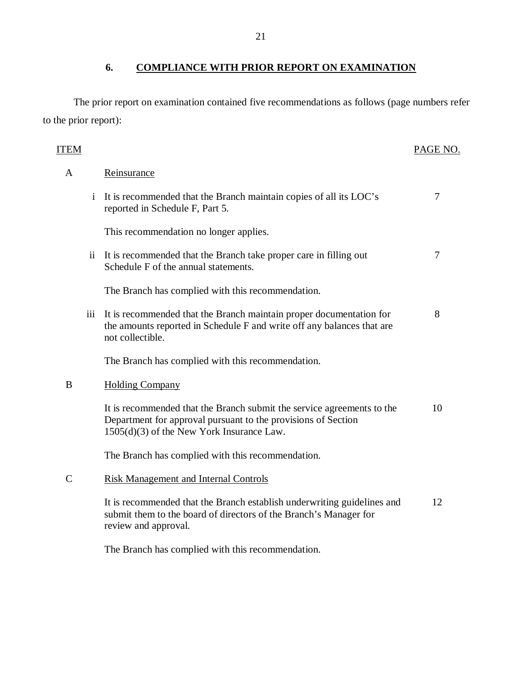# **6. COMPLIANCE WITH PRIOR REPORT ON EXAMINATION**

The prior report on examination contained five recommendations as follows (page numbers refer to the prior report):

| <b>ITEM</b>    |                 |                                                                                                                                                                                      | PAGE NO. |
|----------------|-----------------|--------------------------------------------------------------------------------------------------------------------------------------------------------------------------------------|----------|
| A              |                 | Reinsurance                                                                                                                                                                          |          |
|                | $\mathbf{i}$    | It is recommended that the Branch maintain copies of all its LOC's<br>reported in Schedule F, Part 5.                                                                                | 7        |
|                |                 | This recommendation no longer applies.                                                                                                                                               |          |
|                | $\overline{11}$ | It is recommended that the Branch take proper care in filling out<br>Schedule F of the annual statements.                                                                            | 7        |
|                |                 | The Branch has complied with this recommendation.                                                                                                                                    |          |
|                | iii             | It is recommended that the Branch maintain proper documentation for<br>the amounts reported in Schedule F and write off any balances that are<br>not collectible.                    | 8        |
|                |                 | The Branch has complied with this recommendation.                                                                                                                                    |          |
| B              |                 | <b>Holding Company</b>                                                                                                                                                               |          |
|                |                 | It is recommended that the Branch submit the service agreements to the<br>Department for approval pursuant to the provisions of Section<br>1505(d)(3) of the New York Insurance Law. | 10       |
|                |                 | The Branch has complied with this recommendation.                                                                                                                                    |          |
| $\overline{C}$ |                 | <b>Risk Management and Internal Controls</b>                                                                                                                                         |          |
|                |                 | It is recommended that the Branch establish underwriting guidelines and<br>submit them to the board of directors of the Branch's Manager for<br>review and approval.                 | 12       |
|                |                 | The Branch has complied with this recommendation.                                                                                                                                    |          |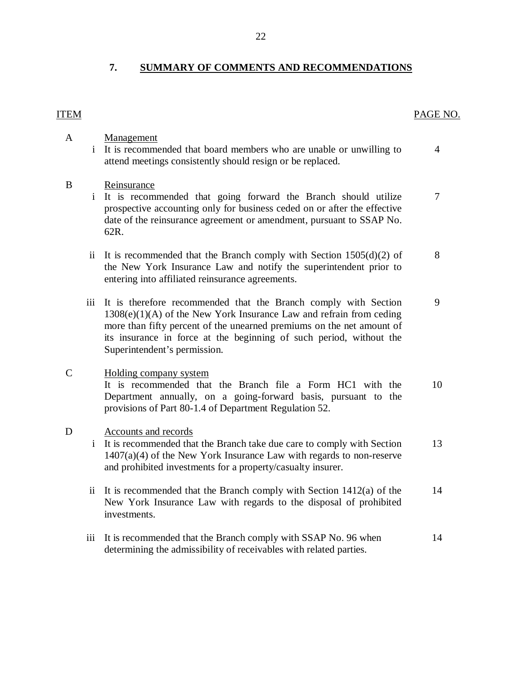# **7. SUMMARY OF COMMENTS AND RECOMMENDATIONS**

# ITEM PAGE NO.

| $\mathbf{A}$ | $\mathbf{i}$        | Management<br>It is recommended that board members who are unable or unwilling to<br>attend meetings consistently should resign or be replaced.                                                                                                                                                                          | $\overline{4}$ |
|--------------|---------------------|--------------------------------------------------------------------------------------------------------------------------------------------------------------------------------------------------------------------------------------------------------------------------------------------------------------------------|----------------|
| B            |                     | Reinsurance<br>It is recommended that going forward the Branch should utilize<br>prospective accounting only for business ceded on or after the effective<br>date of the reinsurance agreement or amendment, pursuant to SSAP No.<br>62R.                                                                                | 7              |
|              | $\mathbf{ii}$       | It is recommended that the Branch comply with Section $1505(d)(2)$ of<br>the New York Insurance Law and notify the superintendent prior to<br>entering into affiliated reinsurance agreements.                                                                                                                           | 8              |
|              | iii                 | It is therefore recommended that the Branch comply with Section<br>$1308(e)(1)(A)$ of the New York Insurance Law and refrain from ceding<br>more than fifty percent of the unearned premiums on the net amount of<br>its insurance in force at the beginning of such period, without the<br>Superintendent's permission. | 9              |
| $\mathsf{C}$ |                     | Holding company system<br>It is recommended that the Branch file a Form HC1 with the<br>Department annually, on a going-forward basis, pursuant to the<br>provisions of Part 80-1.4 of Department Regulation 52.                                                                                                         | 10             |
| D            | $\mathbf{i}$        | Accounts and records<br>It is recommended that the Branch take due care to comply with Section<br>$1407(a)(4)$ of the New York Insurance Law with regards to non-reserve<br>and prohibited investments for a property/casualty insurer.                                                                                  | 13             |
|              | $\ddot{\mathbf{i}}$ | It is recommended that the Branch comply with Section $1412(a)$ of the<br>New York Insurance Law with regards to the disposal of prohibited<br>investments.                                                                                                                                                              | 14             |
|              | iii                 | It is recommended that the Branch comply with SSAP No. 96 when                                                                                                                                                                                                                                                           | 14             |

determining the admissibility of receivables with related parties.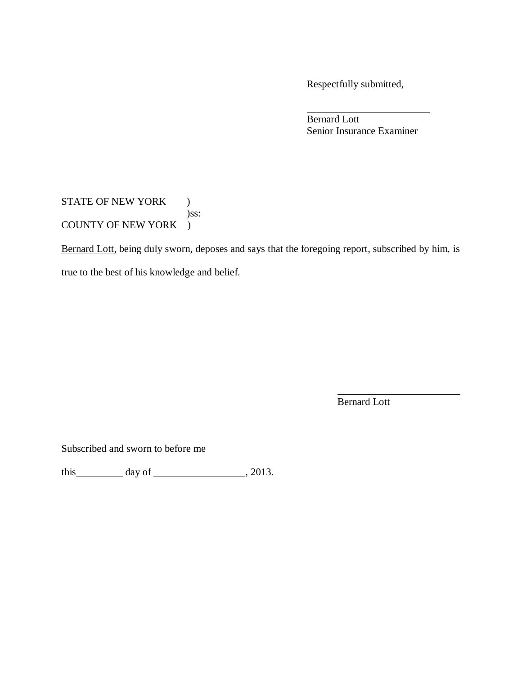Respectfully submitted,

Bernard Lott Senior Insurance Examiner

STATE OF NEW YORK ) )ss: COUNTY OF NEW YORK )

Bernard Lott, being duly sworn, deposes and says that the foregoing report, subscribed by him, is

true to the best of his knowledge and belief.

Bernard Lott

Subscribed and sworn to before me

this  $\_\_\_\_\_\$  day of  $\_\_\_\_\_\_\_\_\_\$ , 2013.